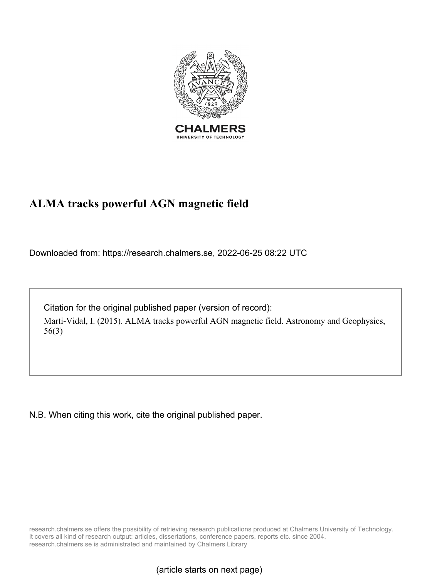

#### **ALMA tracks powerful AGN magnetic field**

Downloaded from: https://research.chalmers.se, 2022-06-25 08:22 UTC

Citation for the original published paper (version of record): Marti-Vidal, I. (2015). ALMA tracks powerful AGN magnetic field. Astronomy and Geophysics, 56(3)

N.B. When citing this work, cite the original published paper.

research.chalmers.se offers the possibility of retrieving research publications produced at Chalmers University of Technology. It covers all kind of research output: articles, dissertations, conference papers, reports etc. since 2004. research.chalmers.se is administrated and maintained by Chalmers Library